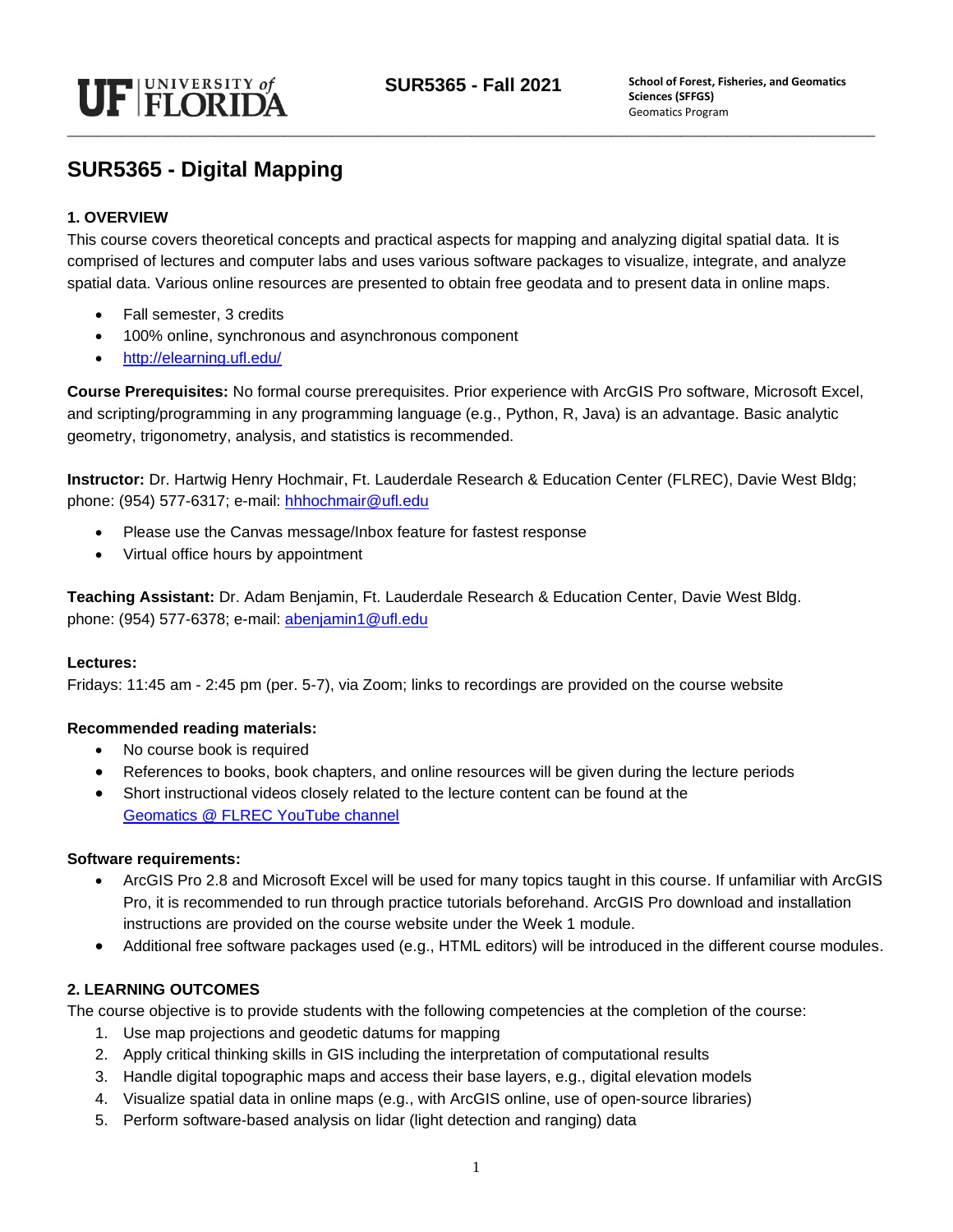

## **SUR5365 - Digital Mapping**

#### **1. OVERVIEW**

This course covers theoretical concepts and practical aspects for mapping and analyzing digital spatial data. It is comprised of lectures and computer labs and uses various software packages to visualize, integrate, and analyze spatial data. Various online resources are presented to obtain free geodata and to present data in online maps.

- Fall semester, 3 credits
- 100% online, synchronous and asynchronous component
- <http://elearning.ufl.edu/>

**Course Prerequisites:** No formal course prerequisites. Prior experience with ArcGIS Pro software, Microsoft Excel, and scripting/programming in any programming language (e.g., Python, R, Java) is an advantage. Basic analytic geometry, trigonometry, analysis, and statistics is recommended.

**Instructor:** Dr. Hartwig Henry Hochmair, Ft. Lauderdale Research & Education Center (FLREC), Davie West Bldg; phone: (954) 577-6317; e-mail: [hhhochmair@ufl.edu](mailto:hhhochmair@ufl.edu)

- Please use the Canvas message/Inbox feature for fastest response
- Virtual office hours by appointment

**Teaching Assistant:** Dr. Adam Benjamin, Ft. Lauderdale Research & Education Center, Davie West Bldg. phone: (954) 577-6378; e-mail: [abenjamin1@ufl.edu](mailto:abenjamin1@ufl.edu)

#### **Lectures:**

Fridays: 11:45 am - 2:45 pm (per. 5-7), via Zoom; links to recordings are provided on the course website

#### **Recommended reading materials:**

- No course book is required
- References to books, book chapters, and online resources will be given during the lecture periods
- Short instructional videos closely related to the lecture content can be found at the [Geomatics @ FLREC YouTube channel](https://www.youtube.com/channel/UCJrKjbiWr73z3-qrxMGzsUw)

#### **Software requirements:**

- ArcGIS Pro 2.8 and Microsoft Excel will be used for many topics taught in this course. If unfamiliar with ArcGIS Pro, it is recommended to run through practice tutorials beforehand. ArcGIS Pro download and installation instructions are provided on the course website under the Week 1 module.
- Additional free software packages used (e.g., HTML editors) will be introduced in the different course modules.

#### **2. LEARNING OUTCOMES**

The course objective is to provide students with the following competencies at the completion of the course:

- 1. Use map projections and geodetic datums for mapping
- 2. Apply critical thinking skills in GIS including the interpretation of computational results
- 3. Handle digital topographic maps and access their base layers, e.g., digital elevation models
- 4. Visualize spatial data in online maps (e.g., with ArcGIS online, use of open-source libraries)
- 5. Perform software-based analysis on lidar (light detection and ranging) data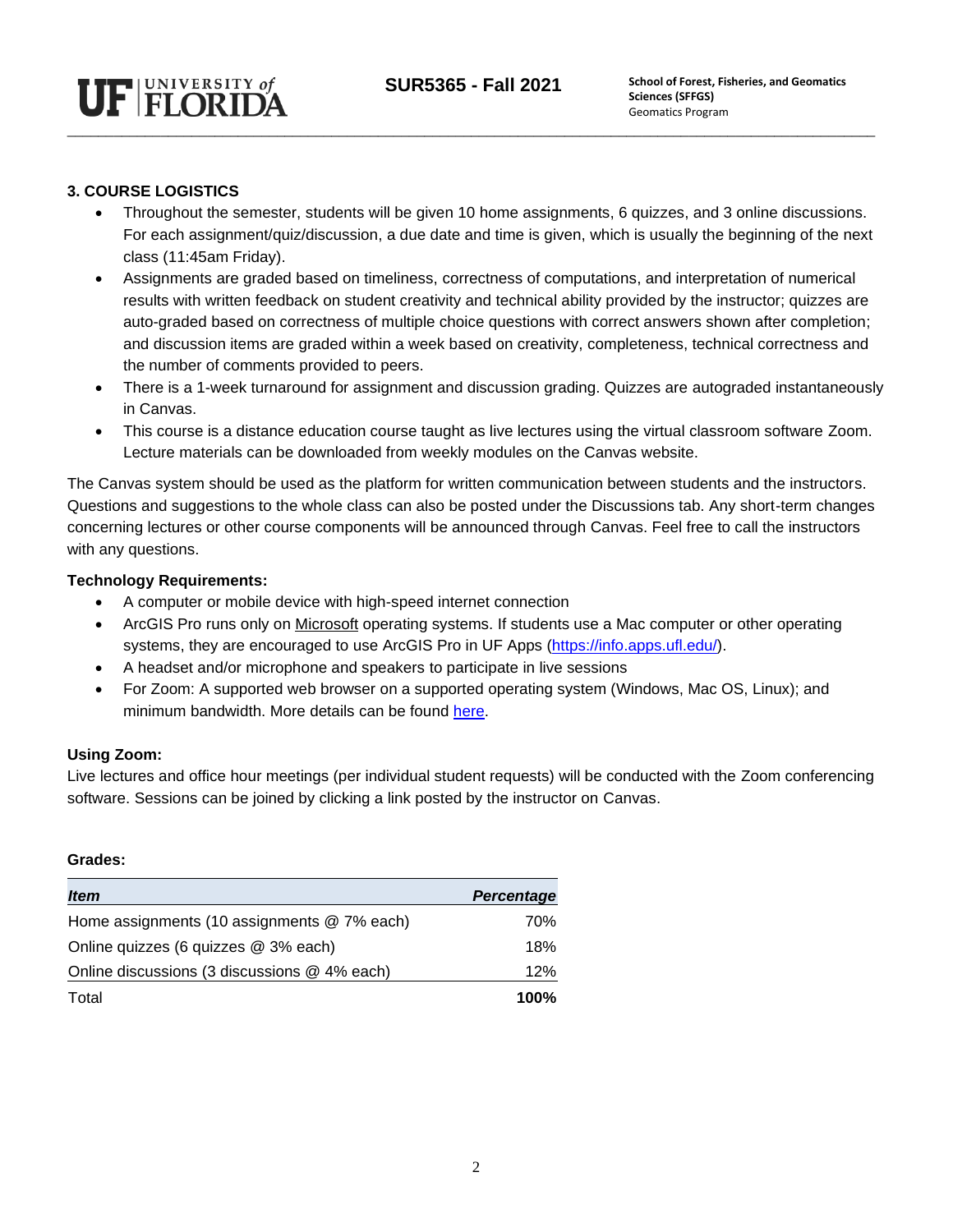

#### **3. COURSE LOGISTICS**

- Throughout the semester, students will be given 10 home assignments, 6 quizzes, and 3 online discussions. For each assignment/quiz/discussion, a due date and time is given, which is usually the beginning of the next class (11:45am Friday).
- Assignments are graded based on timeliness, correctness of computations, and interpretation of numerical results with written feedback on student creativity and technical ability provided by the instructor; quizzes are auto-graded based on correctness of multiple choice questions with correct answers shown after completion; and discussion items are graded within a week based on creativity, completeness, technical correctness and the number of comments provided to peers.
- There is a 1-week turnaround for assignment and discussion grading. Quizzes are autograded instantaneously in Canvas.
- This course is a distance education course taught as live lectures using the virtual classroom software Zoom. Lecture materials can be downloaded from weekly modules on the Canvas website.

The Canvas system should be used as the platform for written communication between students and the instructors. Questions and suggestions to the whole class can also be posted under the Discussions tab. Any short-term changes concerning lectures or other course components will be announced through Canvas. Feel free to call the instructors with any questions.

#### **Technology Requirements:**

- A computer or mobile device with high-speed internet connection
- ArcGIS Pro runs only on Microsoft operating systems. If students use a Mac computer or other operating systems, they are encouraged to use ArcGIS Pro in UF Apps [\(https://info.apps.ufl.edu/\)](https://info.apps.ufl.edu/).
- A headset and/or microphone and speakers to participate in live sessions
- For Zoom: A supported web browser on a supported operating system (Windows, Mac OS, Linux); and minimum bandwidth. More details can be found [here.](https://support.zoom.us/hc/en-us/articles/201362023-System-Requirements-for-PC-Mac-and-Linux)

#### **Using Zoom:**

Live lectures and office hour meetings (per individual student requests) will be conducted with the Zoom conferencing software. Sessions can be joined by clicking a link posted by the instructor on Canvas.

#### **Grades:**

| <i><b>Item</b></i>                           | <b>Percentage</b> |
|----------------------------------------------|-------------------|
| Home assignments (10 assignments @ 7% each)  | 70%               |
| Online quizzes (6 quizzes @ 3% each)         | 18%               |
| Online discussions (3 discussions @ 4% each) | 12%               |
| Total                                        | 100%              |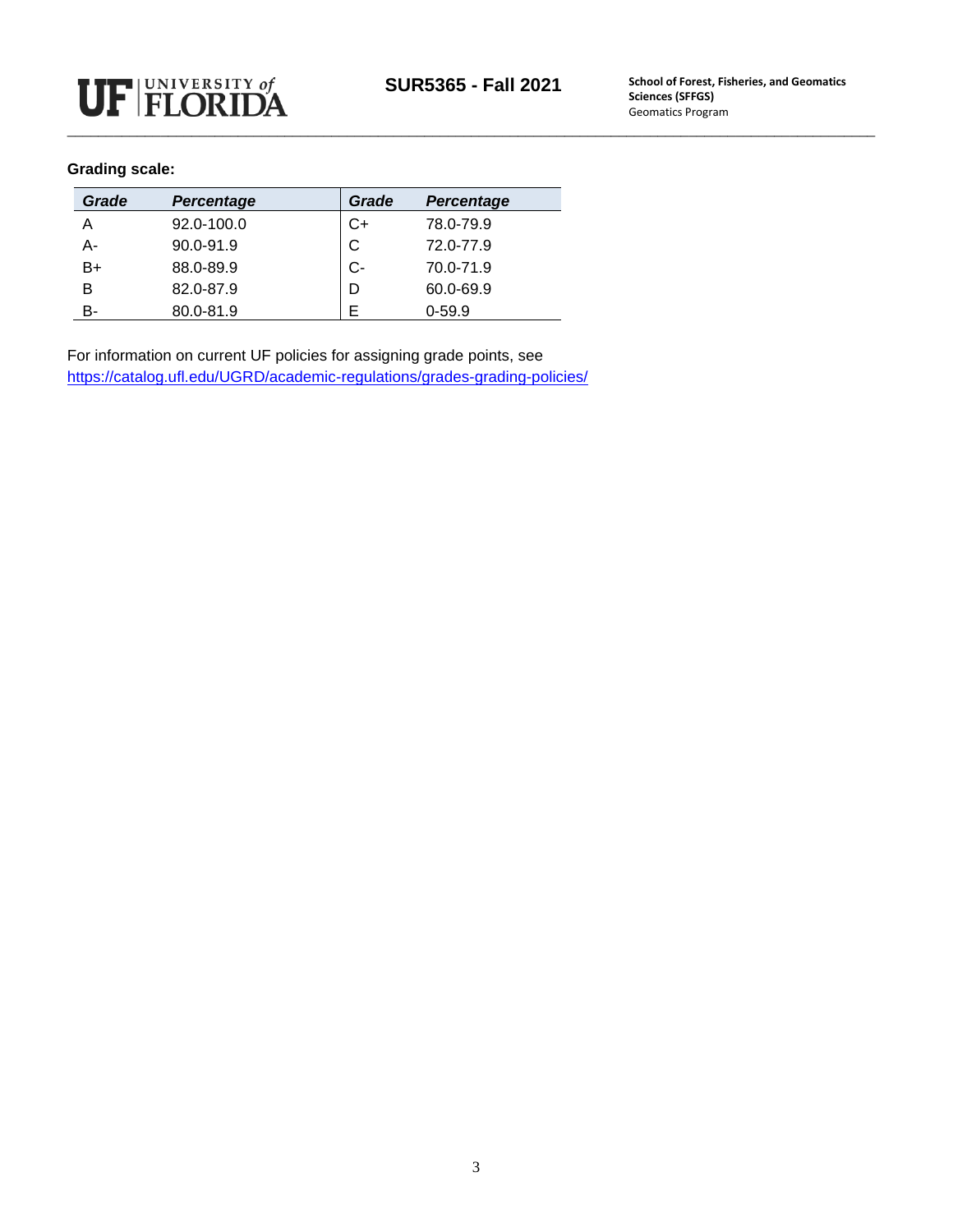#### **Grading scale:**

| Grade | <b>Percentage</b> | Grade | <b>Percentage</b> |
|-------|-------------------|-------|-------------------|
| А     | 92.0-100.0        | C+    | 78.0-79.9         |
| А-    | 90.0-91.9         | C     | 72.0-77.9         |
| B+    | 88.0-89.9         | C-    | 70.0-71.9         |
| В     | 82.0-87.9         | D     | 60.0-69.9         |
| в-    | 80.0-81.9         |       | $0 - 59.9$        |

For information on current UF policies for assigning grade points, see <https://catalog.ufl.edu/UGRD/academic-regulations/grades-grading-policies/>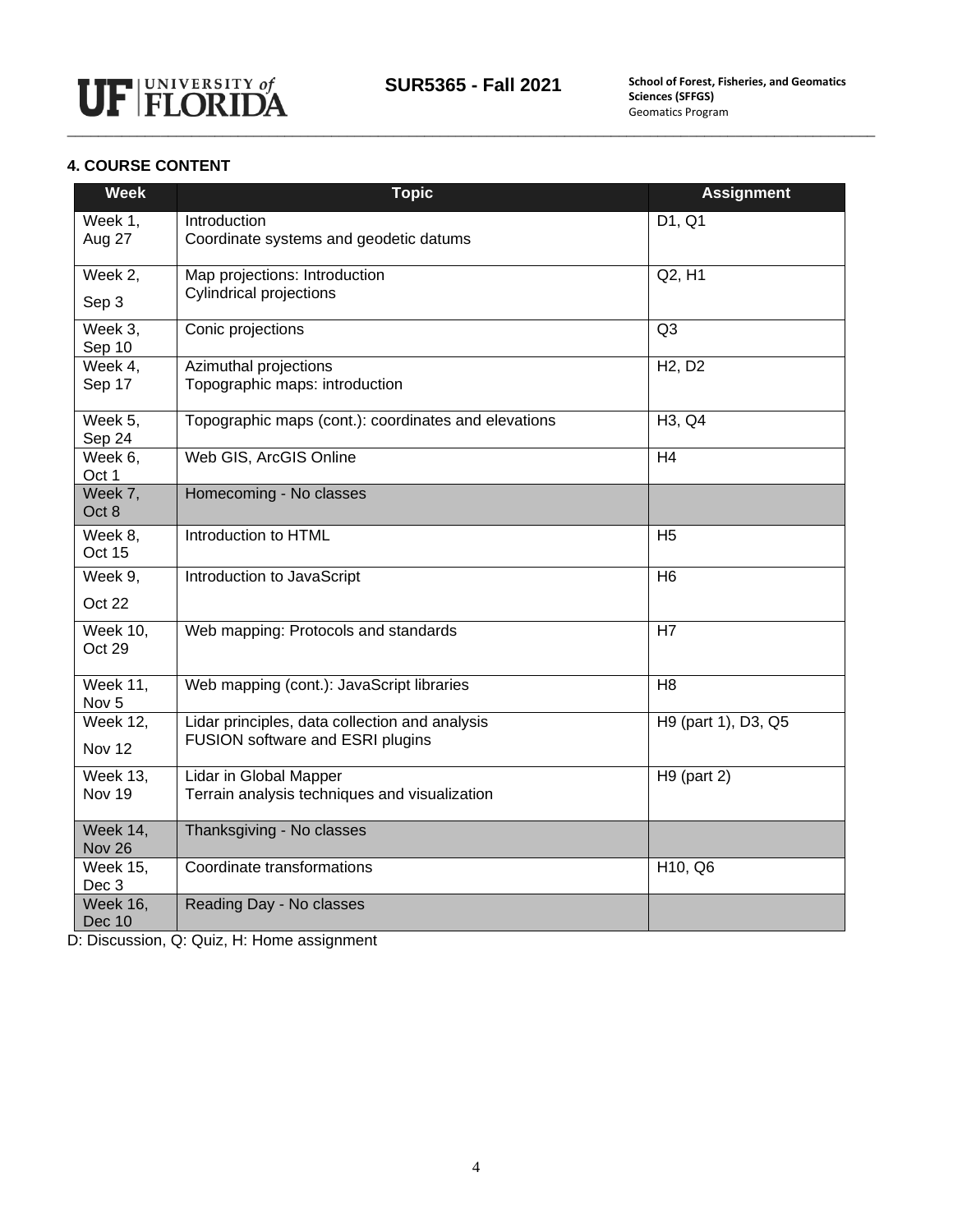

### **4. COURSE CONTENT**

| <b>Week</b>                         | <b>Topic</b>                                         | <b>Assignment</b>                |
|-------------------------------------|------------------------------------------------------|----------------------------------|
| Week 1,                             | Introduction                                         | D1, Q1                           |
| Aug 27                              | Coordinate systems and geodetic datums               |                                  |
| Week 2,                             | Map projections: Introduction                        | Q2, H1                           |
| Sep 3                               | <b>Cylindrical projections</b>                       |                                  |
| Week 3.<br>Sep 10                   | Conic projections                                    | Q <sub>3</sub>                   |
| Week 4,                             | Azimuthal projections                                | H <sub>2</sub> , D <sub>2</sub>  |
| Sep 17                              | Topographic maps: introduction                       |                                  |
| Week 5,<br>Sep 24                   | Topographic maps (cont.): coordinates and elevations | H <sub>3</sub> , Q <sub>4</sub>  |
| Week $6,$<br>Oct 1                  | Web GIS, ArcGIS Online                               | H <sub>4</sub>                   |
| Week 7,<br>Oct 8                    | Homecoming - No classes                              |                                  |
| Week 8,<br>Oct 15                   | Introduction to HTML                                 | H <sub>5</sub>                   |
| Week 9,                             | Introduction to JavaScript                           | H <sub>6</sub>                   |
| Oct 22                              |                                                      |                                  |
| <b>Week 10,</b><br>Oct 29           | Web mapping: Protocols and standards                 | H7                               |
| <b>Week 11,</b><br>Nov <sub>5</sub> | Web mapping (cont.): JavaScript libraries            | H <sub>8</sub>                   |
| <b>Week 12,</b>                     | Lidar principles, data collection and analysis       | H9 (part 1), D3, Q5              |
| Nov <sub>12</sub>                   | FUSION software and ESRI plugins                     |                                  |
| <b>Week 13,</b>                     | Lidar in Global Mapper                               | $H9$ (part 2)                    |
| Nov 19                              | Terrain analysis techniques and visualization        |                                  |
| Week 14,<br>Nov 26                  | Thanksgiving - No classes                            |                                  |
| <b>Week 15,</b><br>Dec 3            | Coordinate transformations                           | H <sub>10</sub> , Q <sub>6</sub> |
| <b>Week 16,</b><br>Dec 10           | Reading Day - No classes                             |                                  |

D: Discussion, Q: Quiz, H: Home assignment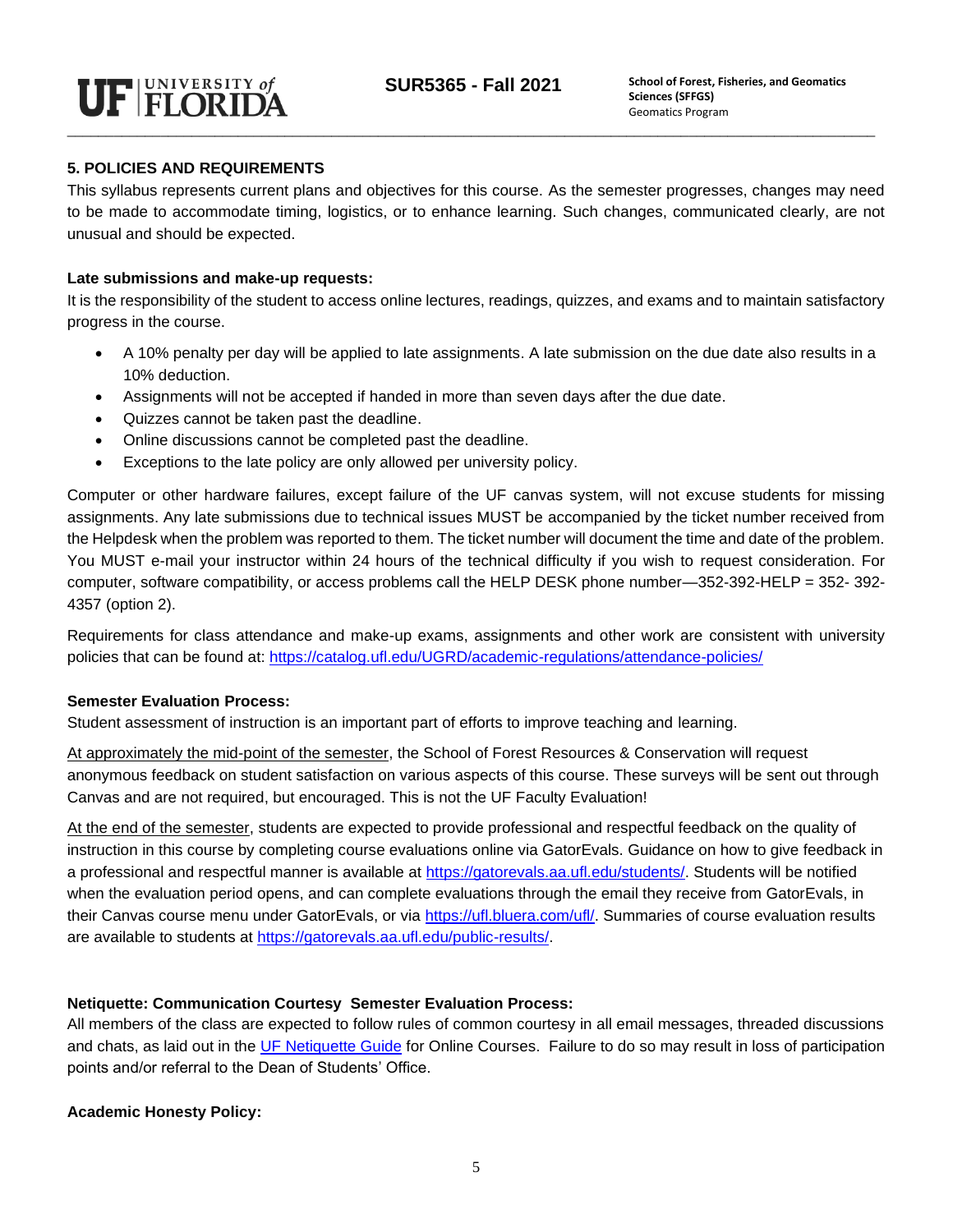#### **5. POLICIES AND REQUIREMENTS**

This syllabus represents current plans and objectives for this course. As the semester progresses, changes may need to be made to accommodate timing, logistics, or to enhance learning. Such changes, communicated clearly, are not unusual and should be expected.

#### **Late submissions and make-up requests:**

It is the responsibility of the student to access online lectures, readings, quizzes, and exams and to maintain satisfactory progress in the course.

- A 10% penalty per day will be applied to late assignments. A late submission on the due date also results in a 10% deduction.
- Assignments will not be accepted if handed in more than seven days after the due date.
- Quizzes cannot be taken past the deadline.
- Online discussions cannot be completed past the deadline.
- Exceptions to the late policy are only allowed per university policy.

Computer or other hardware failures, except failure of the UF canvas system, will not excuse students for missing assignments. Any late submissions due to technical issues MUST be accompanied by the ticket number received from the Helpdesk when the problem was reported to them. The ticket number will document the time and date of the problem. You MUST e-mail your instructor within 24 hours of the technical difficulty if you wish to request consideration. For computer, software compatibility, or access problems call the HELP DESK phone number—352-392-HELP = 352- 392- 4357 (option 2).

Requirements for class attendance and make-up exams, assignments and other work are consistent with university policies that can be found at: <https://catalog.ufl.edu/UGRD/academic-regulations/attendance-policies/>

#### **Semester Evaluation Process:**

Student assessment of instruction is an important part of efforts to improve teaching and learning.

At approximately the mid-point of the semester, the School of Forest Resources & Conservation will request anonymous feedback on student satisfaction on various aspects of this course. These surveys will be sent out through Canvas and are not required, but encouraged. This is not the UF Faculty Evaluation!

At the end of the semester, students are expected to provide professional and respectful feedback on the quality of instruction in this course by completing course evaluations online via GatorEvals. Guidance on how to give feedback in a professional and respectful manner is available at [https://gatorevals.aa.ufl.edu/students/.](https://gatorevals.aa.ufl.edu/students/) Students will be notified when the evaluation period opens, and can complete evaluations through the email they receive from GatorEvals, in their Canvas course menu under GatorEvals, or via [https://ufl.bluera.com/ufl/.](https://ufl.bluera.com/ufl/) Summaries of course evaluation results are available to students at [https://gatorevals.aa.ufl.edu/public-results/.](https://gatorevals.aa.ufl.edu/public-results/)

#### **Netiquette: Communication Courtesy Semester Evaluation Process:**

All members of the class are expected to follow rules of common courtesy in all email messages, threaded discussions and chats, as laid out in the [UF Netiquette Guide](http://teach.ufl.edu/wp-content/uploads/2012/08/NetiquetteGuideforOnlineCourses.pdf) for Online Courses. Failure to do so may result in loss of participation points and/or referral to the Dean of Students' Office.

#### **Academic Honesty Policy:**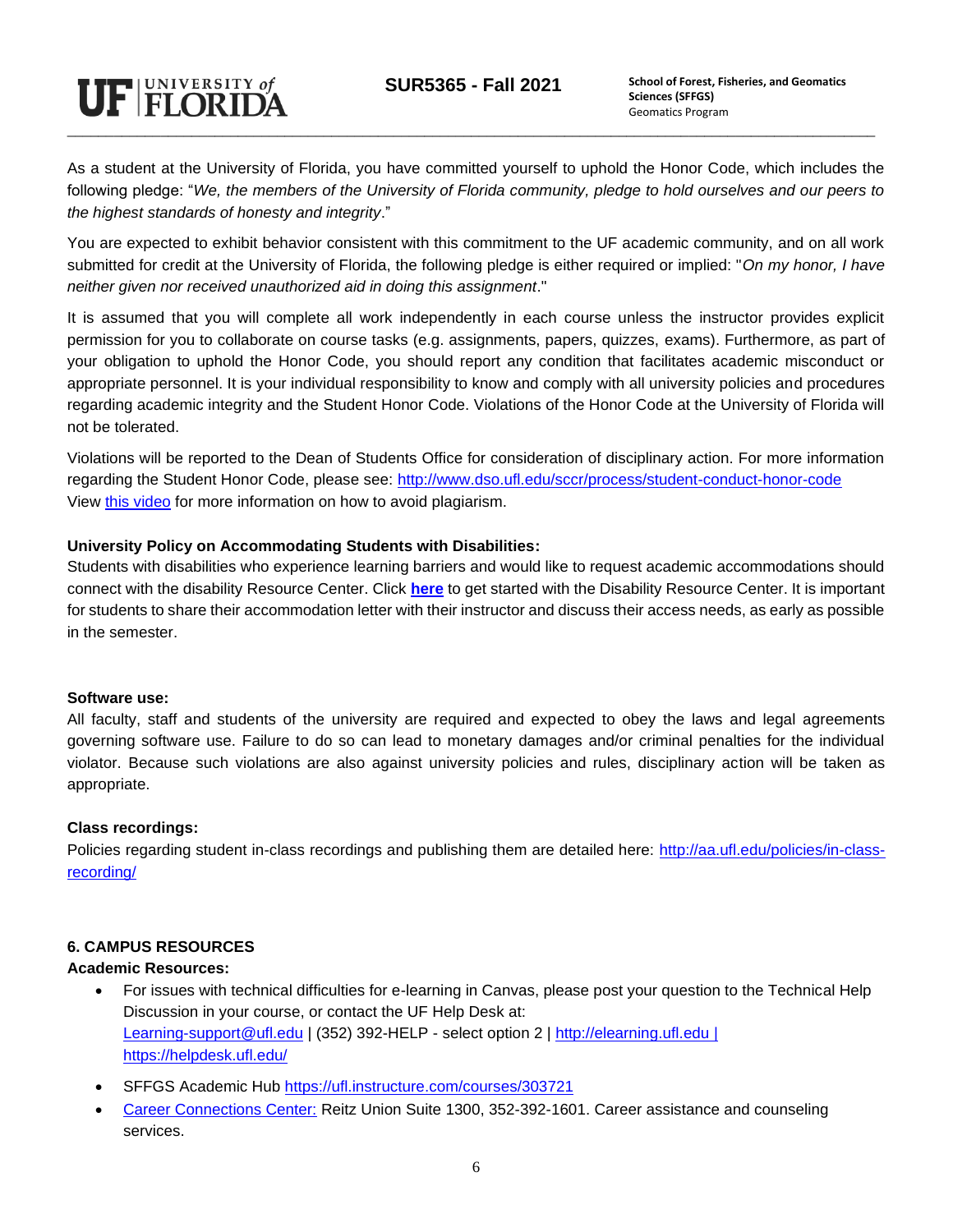

As a student at the University of Florida, you have committed yourself to uphold the Honor Code, which includes the following pledge: "*We, the members of the University of Florida community, pledge to hold ourselves and our peers to the highest standards of honesty and integrity*."

You are expected to exhibit behavior consistent with this commitment to the UF academic community, and on all work submitted for credit at the University of Florida, the following pledge is either required or implied: "*On my honor, I have neither given nor received unauthorized aid in doing this assignment*."

It is assumed that you will complete all work independently in each course unless the instructor provides explicit permission for you to collaborate on course tasks (e.g. assignments, papers, quizzes, exams). Furthermore, as part of your obligation to uphold the Honor Code, you should report any condition that facilitates academic misconduct or appropriate personnel. It is your individual responsibility to know and comply with all university policies and procedures regarding academic integrity and the Student Honor Code. Violations of the Honor Code at the University of Florida will not be tolerated.

Violations will be reported to the Dean of Students Office for consideration of disciplinary action. For more information regarding the Student Honor Code, please see:<http://www.dso.ufl.edu/sccr/process/student-conduct-honor-code> View [this video](https://www.youtube.com/watch?v=PzZsButRaHs) for more information on how to avoid plagiarism.

#### **University Policy on Accommodating Students with Disabilities:**

Students with disabilities who experience learning barriers and would like to request academic accommodations should connect with the disability Resource Center. Click **[here](https://disability.ufl.edu/get-started/)** to get started with the Disability Resource Center. It is important for students to share their accommodation letter with their instructor and discuss their access needs, as early as possible in the semester.

#### **Software use:**

All faculty, staff and students of the university are required and expected to obey the laws and legal agreements governing software use. Failure to do so can lead to monetary damages and/or criminal penalties for the individual violator. Because such violations are also against university policies and rules, disciplinary action will be taken as appropriate.

#### **Class recordings:**

Policies regarding student in-class recordings and publishing them are detailed here: [http://aa.ufl.edu/policies/in-class](http://aa.ufl.edu/policies/in-class-recording/)[recording/](http://aa.ufl.edu/policies/in-class-recording/)

#### **6. CAMPUS RESOURCES**

#### **Academic Resources:**

- For issues with technical difficulties for e-learning in Canvas, please post your question to the Technical Help Discussion in your course, or contact the UF Help Desk at: [Learning-support@ufl.edu](mailto:Learning-support@ufl.edu) | (352) 392-HELP - select option 2 | [http://elearning.ufl.edu](http://elearning.ufl.edu/) | https://helpdesk.ufl.edu/
- SFFGS Academic Hub<https://ufl.instructure.com/courses/303721>
- [Career Connections Center:](https://career.ufl.edu/) Reitz Union Suite 1300, 352-392-1601. Career assistance and counseling services.